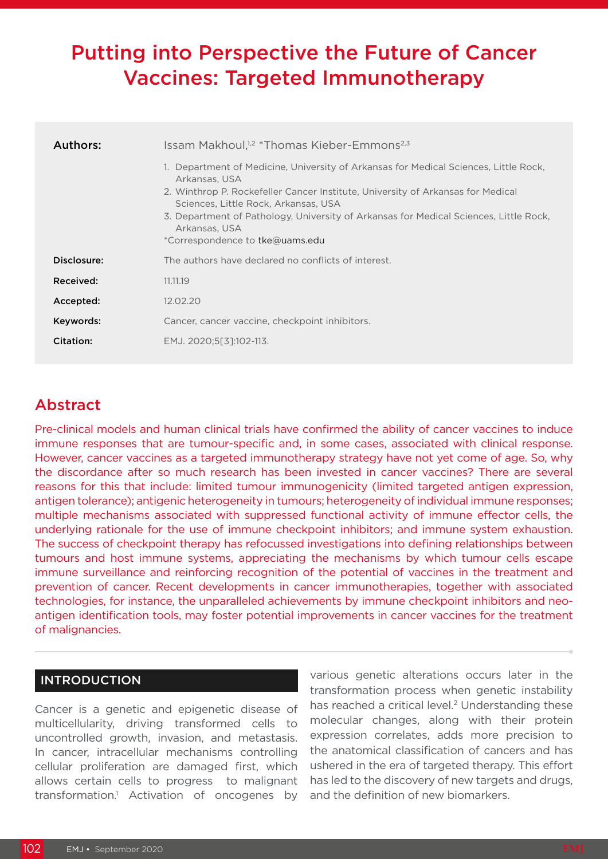# Putting into Perspective the Future of Cancer Vaccines: Targeted Immunotherapy

| Authors:    | Issam Makhoul, <sup>1,2</sup> *Thomas Kieber-Emmons <sup>2,3</sup>                                                                                                                                                                                                                                                                                                            |  |  |  |  |  |
|-------------|-------------------------------------------------------------------------------------------------------------------------------------------------------------------------------------------------------------------------------------------------------------------------------------------------------------------------------------------------------------------------------|--|--|--|--|--|
|             | 1. Department of Medicine, University of Arkansas for Medical Sciences, Little Rock,<br>Arkansas, USA<br>2. Winthrop P. Rockefeller Cancer Institute, University of Arkansas for Medical<br>Sciences, Little Rock, Arkansas, USA<br>3. Department of Pathology, University of Arkansas for Medical Sciences, Little Rock,<br>Arkansas, USA<br>*Correspondence to tke@uams.edu |  |  |  |  |  |
| Disclosure: | The authors have declared no conflicts of interest.                                                                                                                                                                                                                                                                                                                           |  |  |  |  |  |
| Received:   | 11.11.19                                                                                                                                                                                                                                                                                                                                                                      |  |  |  |  |  |
| Accepted:   | 12.02.20                                                                                                                                                                                                                                                                                                                                                                      |  |  |  |  |  |
| Keywords:   | Cancer, cancer vaccine, checkpoint inhibitors.                                                                                                                                                                                                                                                                                                                                |  |  |  |  |  |
| Citation:   | EMJ. 2020;5[3]:102-113.                                                                                                                                                                                                                                                                                                                                                       |  |  |  |  |  |

# Abstract

Pre-clinical models and human clinical trials have confirmed the ability of cancer vaccines to induce immune responses that are tumour-specific and, in some cases, associated with clinical response. However, cancer vaccines as a targeted immunotherapy strategy have not yet come of age. So, why the discordance after so much research has been invested in cancer vaccines? There are several reasons for this that include: limited tumour immunogenicity (limited targeted antigen expression, antigen tolerance); antigenic heterogeneity in tumours; heterogeneity of individual immune responses; multiple mechanisms associated with suppressed functional activity of immune effector cells, the underlying rationale for the use of immune checkpoint inhibitors; and immune system exhaustion. The success of checkpoint therapy has refocussed investigations into defining relationships between tumours and host immune systems, appreciating the mechanisms by which tumour cells escape immune surveillance and reinforcing recognition of the potential of vaccines in the treatment and prevention of cancer. Recent developments in cancer immunotherapies, together with associated technologies, for instance, the unparalleled achievements by immune checkpoint inhibitors and neoantigen identification tools, may foster potential improvements in cancer vaccines for the treatment of malignancies.

### INTRODUCTION

Cancer is a genetic and epigenetic disease of multicellularity, driving transformed cells to uncontrolled growth, invasion, and metastasis. In cancer, intracellular mechanisms controlling cellular proliferation are damaged first, which allows certain cells to progress to malignant transformation.1 Activation of oncogenes by various genetic alterations occurs later in the transformation process when genetic instability has reached a critical level.<sup>2</sup> Understanding these molecular changes, along with their protein expression correlates, adds more precision to the anatomical classification of cancers and has ushered in the era of targeted therapy. This effort has led to the discovery of new targets and drugs, and the definition of new biomarkers.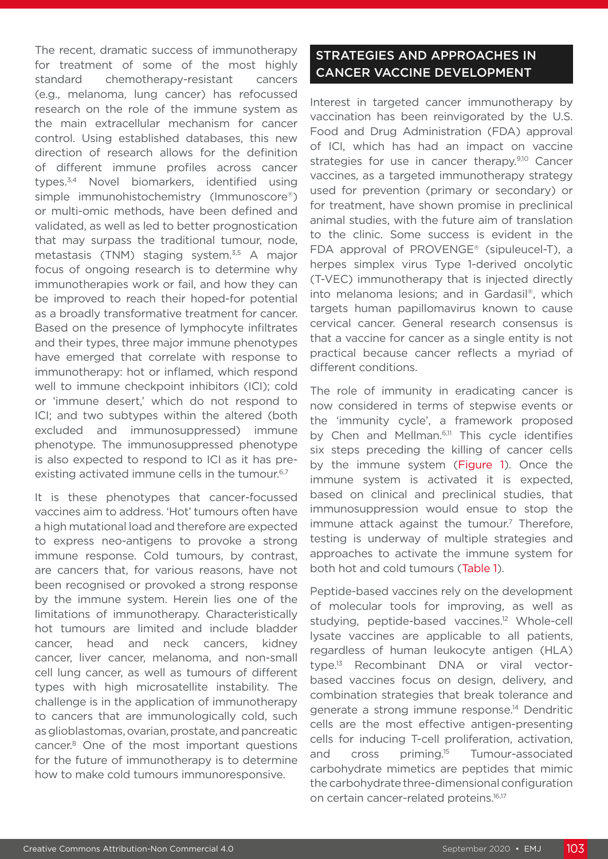The recent, dramatic success of immunotherapy for treatment of some of the most highly standard chemotherapy-resistant cancers (e.g., melanoma, lung cancer) has refocussed research on the role of the immune system as the main extracellular mechanism for cancer control. Using established databases, this new direction of research allows for the definition of different immune profiles across cancer types.3,4 Novel biomarkers, identified using simple immunohistochemistry (Immunoscore®) or multi-omic methods, have been defined and validated, as well as led to better prognostication that may surpass the traditional tumour, node, metastasis (TNM) staging system.<sup>3,5</sup> A major focus of ongoing research is to determine why immunotherapies work or fail, and how they can be improved to reach their hoped-for potential as a broadly transformative treatment for cancer. Based on the presence of lymphocyte infiltrates and their types, three major immune phenotypes have emerged that correlate with response to immunotherapy: hot or inflamed, which respond well to immune checkpoint inhibitors (ICI); cold or 'immune desert,' which do not respond to ICI; and two subtypes within the altered (both excluded and immunosuppressed) immune phenotype. The immunosuppressed phenotype is also expected to respond to ICI as it has preexisting activated immune cells in the tumour.<sup>6,7</sup>

It is these phenotypes that cancer-focussed vaccines aim to address. 'Hot' tumours often have a high mutational load and therefore are expected to express neo-antigens to provoke a strong immune response. Cold tumours, by contrast, are cancers that, for various reasons, have not been recognised or provoked a strong response by the immune system. Herein lies one of the limitations of immunotherapy. Characteristically hot tumours are limited and include bladder cancer, head and neck cancers, kidney cancer, liver cancer, melanoma, and non-small cell lung cancer, as well as tumours of different types with high microsatellite instability. The challenge is in the application of immunotherapy to cancers that are immunologically cold, such as glioblastomas, ovarian, prostate, and pancreatic cancer. 8 One of the most important questions for the future of immunotherapy is to determine how to make cold tumours immunoresponsive.

### STRATEGIES AND APPROACHES IN CANCER VACCINE DEVELOPMENT

Interest in targeted cancer immunotherapy by vaccination has been reinvigorated by the U.S. Food and Drug Administration (FDA) approval of ICI, which has had an impact on vaccine strategies for use in cancer therapy.<sup>9,10</sup> Cancer vaccines, as a targeted immunotherapy strategy used for prevention (primary or secondary) or for treatment, have shown promise in preclinical animal studies, with the future aim of translation to the clinic. Some success is evident in the FDA approval of PROVENGE® (sipuleucel-T), a herpes simplex virus Type 1-derived oncolytic (T-VEC) immunotherapy that is injected directly into melanoma lesions; and in Gardasil®, which targets human papillomavirus known to cause cervical cancer. General research consensus is that a vaccine for cancer as a single entity is not practical because cancer reflects a myriad of different conditions.

The role of immunity in eradicating cancer is now considered in terms of stepwise events or the 'immunity cycle', a framework proposed by Chen and Mellman.<sup>6,11</sup> This cycle identifies six steps preceding the killing of cancer cells by the immune system (Figure 1). Once the immune system is activated it is expected, based on clinical and preclinical studies, that immunosuppression would ensue to stop the immune attack against the tumour.<sup>7</sup> Therefore, testing is underway of multiple strategies and approaches to activate the immune system for both hot and cold tumours (Table 1).

Peptide-based vaccines rely on the development of molecular tools for improving, as well as studying, peptide-based vaccines.<sup>12</sup> Whole-cell lysate vaccines are applicable to all patients, regardless of human leukocyte antigen (HLA) type.13 Recombinant DNA or viral vectorbased vaccines focus on design, delivery, and combination strategies that break tolerance and generate a strong immune response.14 Dendritic cells are the most effective antigen-presenting cells for inducing T-cell proliferation, activation, and cross priming.15 Tumour-associated carbohydrate mimetics are peptides that mimic the carbohydrate three-dimensional configuration on certain cancer-related proteins.<sup>16,17</sup>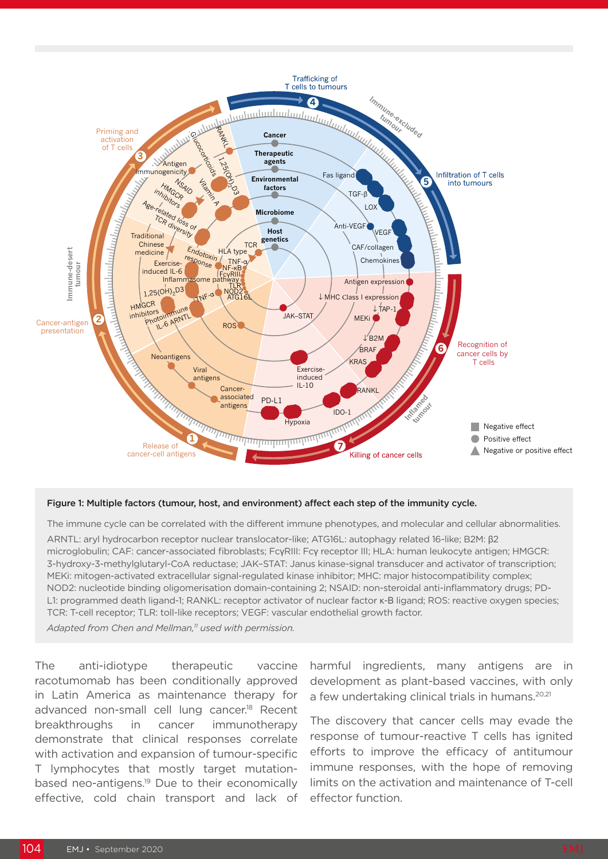

#### Figure 1: Multiple factors (tumour, host, and environment) affect each step of the immunity cycle. Figure i: Multiple factors (tumour, host, and environ reductase; JAK/STAT, Janus kinase–signal transducers and activators  $\overline{\text{rrect}}$  each step of the immunity cycle.

The immune cycle can be correlated with the different immune phenotypes, and molecular and cellular abnormalities. ARNTL: aryl hydrocarbon receptor nuclear translocator-like; ATG16L: autophagy related 16-like; B2M: β2 microglobulin; CAF: cancer-associated fibroblasts; FcγRIII: Fcγ receptor III; HLA: human leukocyte antigen; HMGCR: 3-hydroxy-3-methylglutaryl-CoA reductase; JAK-STAT: Janus kinase-signal transducer and activator of transcription;<br>MEK: with search activities extended with a light of the al-titing of inhibitory MLC: we is third a search MEKi: mitogen-activated extracellular signal-regulated kinase inhibitor; MHC: major histocompatibility complex;<br>NODO ואבולו. הוונטספה-activated extracentiar signal-regulated kinase immoltor, ליורש: הומןסר הוגנטכסווקמנוטוונץ compiex,<br>NOD2: nucleotide binding oligomerisation domain-containing 2; NSAID: non-steroidal anti-inflammatory drug L1: programmed death ligand-1; RANKL: receptor activator of nuclear factor κ-Β ligand; ROS: reactive oxygen species; ascribed to whether tumours harbour an inflammatory microen-**Predicting response** TCR: T-cell receptor; TLR: toll-like receptors; VEGF: vascular endothelial growth factor. To a first approximation, and the profiles between the profiles can be profiled the profiles can be profiled the profiles can be profiled the profiles can be profiled that the profiles can be profiled that the profiles can ine immune cycle can be correlated with the different oligomerization domain-containing protein; NSAIDs, non-steroidal ne phenotypes, and molecular and cellular abnormalities.

Adapted from Chen and Mellman,<sup>11</sup> used with permission.

The anti-idiotype therapeutic vaccine racotumomab has been conditionally approved in Latin America as maintenance therapy for advanced non-small cell lung cancer.<sup>18</sup> Recent breakthroughs in cancer immunotherapy demonstrate that clinical responses correlate with activation and expansion of tumour-specific T lymphocytes that mostly target mutationbased neo-antigens.<sup>19</sup> Due to their economically effective, cold chain transport and lack of III-Latin America as maintenance therapy for with activation and expansion or tumour-specific populations of myeloid-derived suppressor cells (for example, immature harmful ingredients, many antigens are in development as plant-based vaccines, with only a few undertaking clinical trials in humans.<sup>20,21</sup> bevoluption as plant based vacemes, with only

The discovery that cancer cells may evade the response of tumour-reactive T cells has ignited efforts to improve the efficacy of antitumour enotes to improve the emeasy or antitalities. limits on the activation and maintenance of T-cell effector function.<br>
will be individually to select in the most likely to respond to respond to respond the most likely to respond antibodies against PD-L1 or PD-1 (refs 62, 69, 70, 73, 75, 83 and 84). The discovery that cancer cells may evade the immune responses, with the hope of removing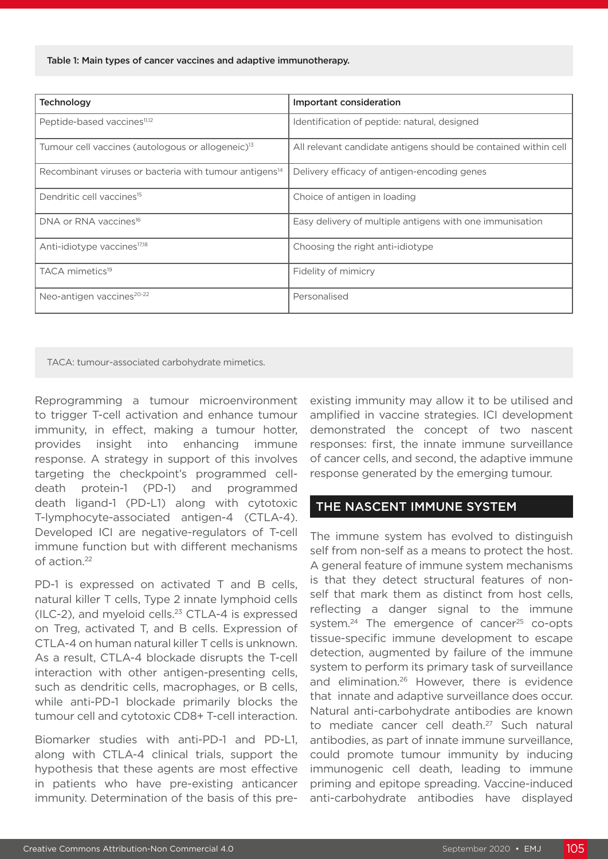Table 1: Main types of cancer vaccines and adaptive immunotherapy.

| <b>Technology</b>                                                  | Important consideration                                         |
|--------------------------------------------------------------------|-----------------------------------------------------------------|
| Peptide-based vaccines <sup>11,12</sup>                            | Identification of peptide: natural, designed                    |
| Tumour cell vaccines (autologous or allogeneic) <sup>13</sup>      | All relevant candidate antigens should be contained within cell |
| Recombinant viruses or bacteria with tumour antigens <sup>14</sup> | Delivery efficacy of antigen-encoding genes                     |
| Dendritic cell vaccines <sup>15</sup>                              | Choice of antigen in loading                                    |
| DNA or RNA vaccines <sup>16</sup>                                  | Easy delivery of multiple antigens with one immunisation        |
| Anti-idiotype vaccines <sup>17,18</sup>                            | Choosing the right anti-idiotype                                |
| TACA mimetics <sup>19</sup>                                        | Fidelity of mimicry                                             |
| Neo-antigen vaccines <sup>20-22</sup>                              | Personalised                                                    |

TACA: tumour-associated carbohydrate mimetics.

Reprogramming a tumour microenvironment to trigger T-cell activation and enhance tumour immunity, in effect, making a tumour hotter, provides insight into enhancing immune response. A strategy in support of this involves targeting the checkpoint's programmed celldeath protein-1 (PD-1) and programmed death ligand-1 (PD-L1) along with cytotoxic T-lymphocyte-associated antigen-4 (CTLA-4). Developed ICI are negative-regulators of T-cell immune function but with different mechanisms of action.22

PD-1 is expressed on activated T and B cells, natural killer T cells, Type 2 innate lymphoid cells  $(ILC-2)$ , and myeloid cells.<sup>23</sup> CTLA-4 is expressed on Treg, activated T, and B cells. Expression of CTLA-4 on human natural killer T cells is unknown. As a result, CTLA-4 blockade disrupts the T-cell interaction with other antigen-presenting cells, such as dendritic cells, macrophages, or B cells, while anti-PD-1 blockade primarily blocks the tumour cell and cytotoxic CD8+ T-cell interaction.

Biomarker studies with anti-PD-1 and PD-L1, along with CTLA-4 clinical trials, support the hypothesis that these agents are most effective in patients who have pre-existing anticancer immunity. Determination of the basis of this preexisting immunity may allow it to be utilised and amplified in vaccine strategies. ICI development demonstrated the concept of two nascent responses: first, the innate immune surveillance of cancer cells, and second, the adaptive immune response generated by the emerging tumour.

#### THE NASCENT IMMUNE SYSTEM

The immune system has evolved to distinguish self from non-self as a means to protect the host. A general feature of immune system mechanisms is that they detect structural features of nonself that mark them as distinct from host cells, reflecting a danger signal to the immune system. $24$  The emergence of cancer $25$  co-opts tissue-specific immune development to escape detection, augmented by failure of the immune system to perform its primary task of surveillance and elimination.26 However, there is evidence that innate and adaptive surveillance does occur. Natural anti-carbohydrate antibodies are known to mediate cancer cell death.<sup>27</sup> Such natural antibodies, as part of innate immune surveillance, could promote tumour immunity by inducing immunogenic cell death, leading to immune priming and epitope spreading. Vaccine-induced anti-carbohydrate antibodies have displayed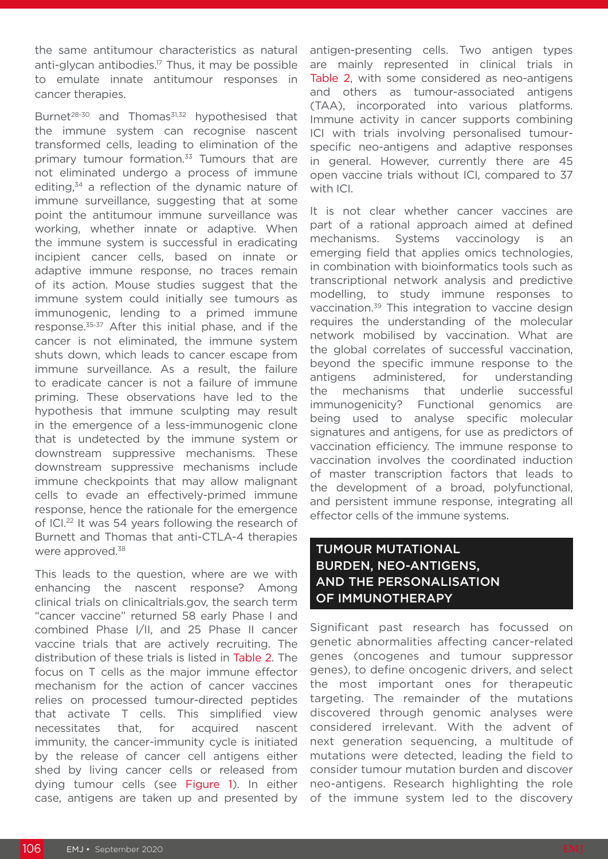the same antitumour characteristics as natural anti-glycan antibodies.<sup>17</sup> Thus, it may be possible to emulate innate antitumour responses in cancer therapies.

Burnet<sup>28-30</sup> and Thomas<sup>31,32</sup> hypothesised that the immune system can recognise nascent transformed cells, leading to elimination of the primary tumour formation.<sup>33</sup> Tumours that are not eliminated undergo a process of immune editing,<sup>34</sup> a reflection of the dynamic nature of immune surveillance, suggesting that at some point the antitumour immune surveillance was working, whether innate or adaptive. When the immune system is successful in eradicating incipient cancer cells, based on innate or adaptive immune response, no traces remain of its action. Mouse studies suggest that the immune system could initially see tumours as immunogenic, lending to a primed immune response.35-37 After this initial phase, and if the cancer is not eliminated, the immune system shuts down, which leads to cancer escape from immune surveillance. As a result, the failure to eradicate cancer is not a failure of immune priming. These observations have led to the hypothesis that immune sculpting may result in the emergence of a less-immunogenic clone that is undetected by the immune system or downstream suppressive mechanisms. These downstream suppressive mechanisms include immune checkpoints that may allow malignant cells to evade an effectively-primed immune response, hence the rationale for the emergence of ICI.<sup>22</sup> It was 54 years following the research of Burnett and Thomas that anti-CTLA-4 therapies were approved.<sup>38</sup>

This leads to the question, where are we with enhancing the nascent response? Among clinical trials on clinicaltrials.gov, the search term "cancer vaccine" returned 58 early Phase I and combined Phase I/II, and 25 Phase II cancer vaccine trials that are actively recruiting. The distribution of these trials is listed in Table 2. The focus on T cells as the major immune effector mechanism for the action of cancer vaccines relies on processed tumour-directed peptides that activate T cells. This simplified view necessitates that, for acquired nascent immunity, the cancer-immunity cycle is initiated by the release of cancer cell antigens either shed by living cancer cells or released from dying tumour cells (see Figure 1). In either case, antigens are taken up and presented by antigen-presenting cells. Two antigen types are mainly represented in clinical trials in Table 2, with some considered as neo-antigens and others as tumour-associated antigens (TAA), incorporated into various platforms. Immune activity in cancer supports combining ICI with trials involving personalised tumourspecific neo-antigens and adaptive responses in general. However, currently there are 45 open vaccine trials without ICI, compared to 37 with ICI.

It is not clear whether cancer vaccines are part of a rational approach aimed at defined mechanisms. Systems vaccinology is an emerging field that applies omics technologies, in combination with bioinformatics tools such as transcriptional network analysis and predictive modelling, to study immune responses to vaccination.39 This integration to vaccine design requires the understanding of the molecular network mobilised by vaccination. What are the global correlates of successful vaccination, beyond the specific immune response to the antigens administered, for understanding the mechanisms that underlie successful immunogenicity? Functional genomics are being used to analyse specific molecular signatures and antigens, for use as predictors of vaccination efficiency. The immune response to vaccination involves the coordinated induction of master transcription factors that leads to the development of a broad, polyfunctional, and persistent immune response, integrating all effector cells of the immune systems.

## TUMOUR MUTATIONAL BURDEN, NEO-ANTIGENS, AND THE PERSONALISATION OF IMMUNOTHERAPY

Significant past research has focussed on genetic abnormalities affecting cancer-related genes (oncogenes and tumour suppressor genes), to define oncogenic drivers, and select the most important ones for therapeutic targeting. The remainder of the mutations discovered through genomic analyses were considered irrelevant. With the advent of next generation sequencing, a multitude of mutations were detected, leading the field to consider tumour mutation burden and discover neo-antigens. Research highlighting the role of the immune system led to the discovery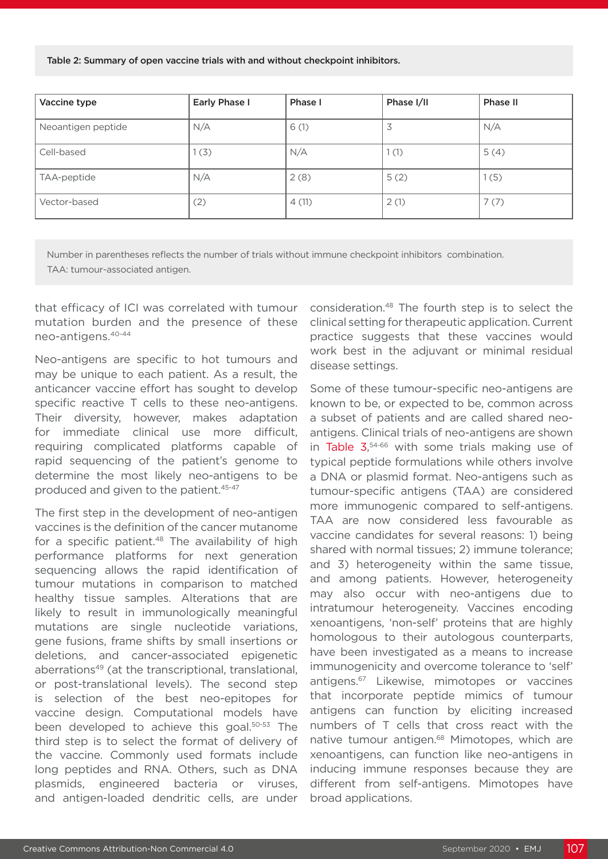Table 2: Summary of open vaccine trials with and without checkpoint inhibitors.

| Vaccine type       | Early Phase I | Phase I | Phase I/II | <b>Phase II</b> |
|--------------------|---------------|---------|------------|-----------------|
| Neoantigen peptide | N/A           | 6(1)    | 3          | N/A             |
| Cell-based         | 1(3)          | N/A     | 1(1)       | 5(4)            |
| TAA-peptide        | N/A           | 2(8)    | 5(2)       | 1(5)            |
| Vector-based       | (2)           | 4(11)   | 2(1)       | 7(7)            |

Number in parentheses reflects the number of trials without immune checkpoint inhibitors combination. TAA: tumour-associated antigen.

that efficacy of ICI was correlated with tumour mutation burden and the presence of these neo-antigens.40-44

Neo-antigens are specific to hot tumours and may be unique to each patient. As a result, the anticancer vaccine effort has sought to develop specific reactive T cells to these neo-antigens. Their diversity, however, makes adaptation for immediate clinical use more difficult, requiring complicated platforms capable of rapid sequencing of the patient's genome to determine the most likely neo-antigens to be produced and given to the patient.45-47

The first step in the development of neo-antigen vaccines is the definition of the cancer mutanome for a specific patient.<sup>48</sup> The availability of high performance platforms for next generation sequencing allows the rapid identification of tumour mutations in comparison to matched healthy tissue samples. Alterations that are likely to result in immunologically meaningful mutations are single nucleotide variations, gene fusions, frame shifts by small insertions or deletions, and cancer-associated epigenetic aberrations49 (at the transcriptional, translational, or post-translational levels). The second step is selection of the best neo-epitopes for vaccine design. Computational models have been developed to achieve this goal.<sup>50-53</sup> The third step is to select the format of delivery of the vaccine. Commonly used formats include long peptides and RNA. Others, such as DNA plasmids, engineered bacteria or viruses, and antigen-loaded dendritic cells, are under

consideration.48 The fourth step is to select the clinical setting for therapeutic application. Current practice suggests that these vaccines would work best in the adjuvant or minimal residual disease settings.

Some of these tumour-specific neo-antigens are known to be, or expected to be, common across a subset of patients and are called shared neoantigens. Clinical trials of neo-antigens are shown in Table 3, 54-66 with some trials making use of typical peptide formulations while others involve a DNA or plasmid format. Neo-antigens such as tumour-specific antigens (TAA) are considered more immunogenic compared to self-antigens. TAA are now considered less favourable as vaccine candidates for several reasons: 1) being shared with normal tissues; 2) immune tolerance; and 3) heterogeneity within the same tissue, and among patients. However, heterogeneity may also occur with neo-antigens due to intratumour heterogeneity. Vaccines encoding xenoantigens, 'non-self' proteins that are highly homologous to their autologous counterparts, have been investigated as a means to increase immunogenicity and overcome tolerance to 'self' antigens.67 Likewise, mimotopes or vaccines that incorporate peptide mimics of tumour antigens can function by eliciting increased numbers of T cells that cross react with the native tumour antigen.<sup>68</sup> Mimotopes, which are xenoantigens, can function like neo-antigens in inducing immune responses because they are different from self-antigens. Mimotopes have broad applications.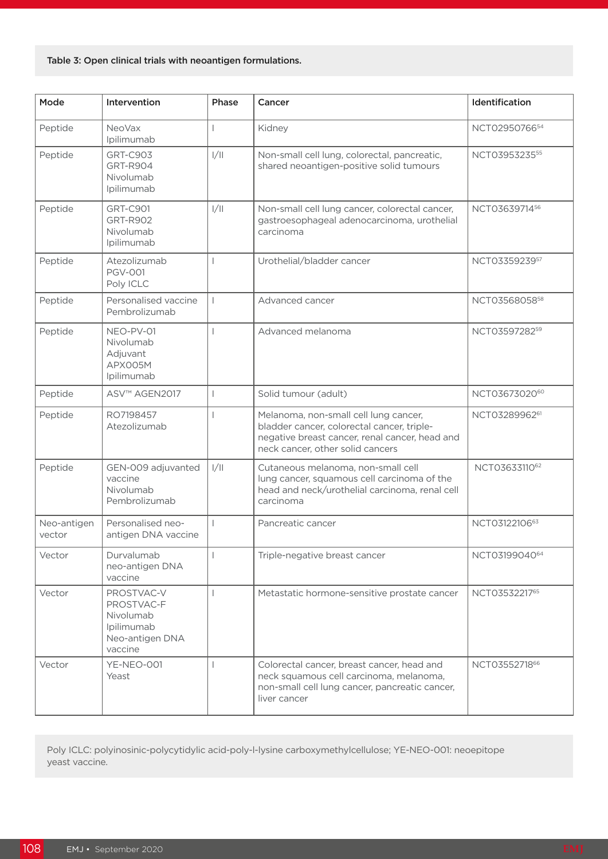#### Table 3: Open clinical trials with neoantigen formulations.

| Mode                  | Intervention                                                                      | Phase        | Cancer                                                                                                                                                                    | Identification |
|-----------------------|-----------------------------------------------------------------------------------|--------------|---------------------------------------------------------------------------------------------------------------------------------------------------------------------------|----------------|
| Peptide               | <b>NeoVax</b><br>Ipilimumab                                                       |              | Kidney                                                                                                                                                                    | NCT0295076654  |
| Peptide               | <b>GRT-C903</b><br><b>GRT-R904</b><br>Nivolumab<br>Ipilimumab                     | 1/11         | Non-small cell lung, colorectal, pancreatic,<br>shared neoantigen-positive solid tumours                                                                                  | NCT0395323555  |
| Peptide               | <b>GRT-C901</b><br>GRT-R902<br>Nivolumab<br>Ipilimumab                            | 1/11         | Non-small cell lung cancer, colorectal cancer,<br>gastroesophageal adenocarcinoma, urothelial<br>carcinoma                                                                | NCT0363971456  |
| Peptide               | Atezolizumab<br><b>PGV-001</b><br>Poly ICLC                                       |              | Urothelial/bladder cancer                                                                                                                                                 | NCT0335923957  |
| Peptide               | Personalised vaccine<br>Pembrolizumab                                             |              | Advanced cancer                                                                                                                                                           | NCT0356805858  |
| Peptide               | NEO-PV-01<br>Nivolumab<br>Adjuvant<br>APX005M<br>Ipilimumab                       |              | Advanced melanoma                                                                                                                                                         | NCT0359728259  |
| Peptide               | ASV™ AGEN2017                                                                     |              | Solid tumour (adult)                                                                                                                                                      | NCT0367302060  |
| Peptide               | RO7198457<br>Atezolizumab                                                         |              | Melanoma, non-small cell lung cancer,<br>bladder cancer, colorectal cancer, triple-<br>negative breast cancer, renal cancer, head and<br>neck cancer, other solid cancers | NCT0328996261  |
| Peptide               | GEN-009 adjuvanted<br>vaccine<br>Nivolumab<br>Pembrolizumab                       | 1/11         | Cutaneous melanoma, non-small cell<br>lung cancer, squamous cell carcinoma of the<br>head and neck/urothelial carcinoma, renal cell<br>carcinoma                          | NCT0363311062  |
| Neo-antigen<br>vector | Personalised neo-<br>antigen DNA vaccine                                          | $\mathbf{L}$ | Pancreatic cancer                                                                                                                                                         | NCT0312210663  |
| Vector                | Durvalumab<br>neo-antigen DNA<br>vaccine                                          |              | Triple-negative breast cancer                                                                                                                                             | NCT0319904064  |
| Vector                | PROSTVAC-V<br>PROSTVAC-F<br>Nivolumab<br>Ipilimumab<br>Neo-antigen DNA<br>vaccine |              | Metastatic hormone-sensitive prostate cancer                                                                                                                              | NCT0353221765  |
| Vector                | YE-NEO-001<br>Yeast                                                               |              | Colorectal cancer, breast cancer, head and<br>neck squamous cell carcinoma, melanoma,<br>non-small cell lung cancer, pancreatic cancer,<br>liver cancer                   | NCT0355271866  |

Poly ICLC: polyinosinic-polycytidylic acid-poly-l-lysine carboxymethylcellulose; YE-NEO-001: neoepitope yeast vaccine.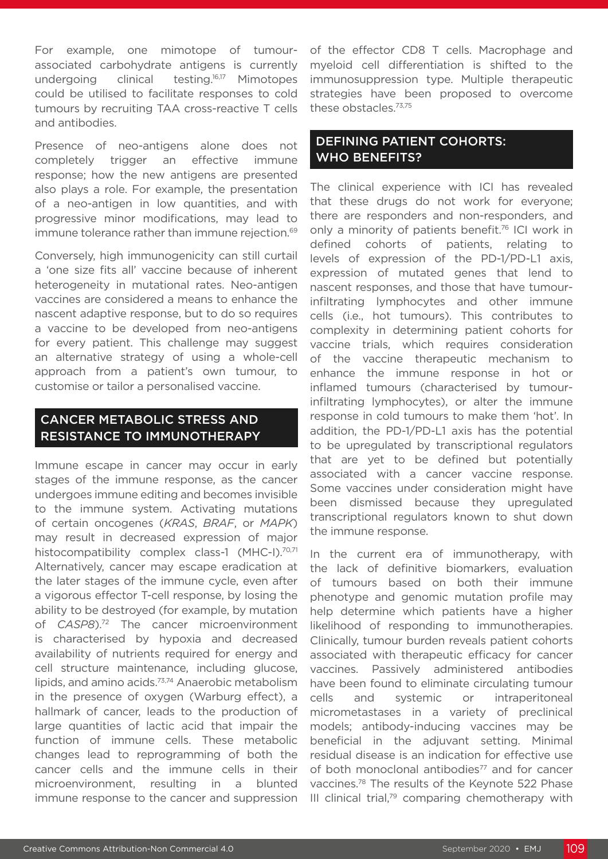For example, one mimotope of tumourassociated carbohydrate antigens is currently undergoing clinical testing.16,17 Mimotopes could be utilised to facilitate responses to cold tumours by recruiting TAA cross-reactive T cells and antibodies.

Presence of neo-antigens alone does not completely trigger an effective immune response; how the new antigens are presented also plays a role. For example, the presentation of a neo-antigen in low quantities, and with progressive minor modifications, may lead to immune tolerance rather than immune rejection.<sup>69</sup>

Conversely, high immunogenicity can still curtail a 'one size fits all' vaccine because of inherent heterogeneity in mutational rates. Neo-antigen vaccines are considered a means to enhance the nascent adaptive response, but to do so requires a vaccine to be developed from neo-antigens for every patient. This challenge may suggest an alternative strategy of using a whole-cell approach from a patient's own tumour, to customise or tailor a personalised vaccine.

### CANCER METABOLIC STRESS AND RESISTANCE TO IMMUNOTHERAPY

Immune escape in cancer may occur in early stages of the immune response, as the cancer undergoes immune editing and becomes invisible to the immune system. Activating mutations of certain oncogenes (*KRAS*, *BRAF*, or *MAPK*) may result in decreased expression of major histocompatibility complex class-1 (MHC-I).<sup>70,71</sup> Alternatively, cancer may escape eradication at the later stages of the immune cycle, even after a vigorous effector T-cell response, by losing the ability to be destroyed (for example, by mutation of *CASP8*).72 The cancer microenvironment is characterised by hypoxia and decreased availability of nutrients required for energy and cell structure maintenance, including glucose, lipids, and amino acids.73,74 Anaerobic metabolism in the presence of oxygen (Warburg effect), a hallmark of cancer, leads to the production of large quantities of lactic acid that impair the function of immune cells. These metabolic changes lead to reprogramming of both the cancer cells and the immune cells in their microenvironment, resulting in a blunted immune response to the cancer and suppression

of the effector CD8 T cells. Macrophage and myeloid cell differentiation is shifted to the immunosuppression type. Multiple therapeutic strategies have been proposed to overcome these obstacles.73,75

### DEFINING PATIENT COHORTS: WHO BENEFITS?

The clinical experience with ICI has revealed that these drugs do not work for everyone; there are responders and non-responders, and only a minority of patients benefit.<sup>76</sup> ICI work in defined cohorts of patients, relating to levels of expression of the PD-1/PD-L1 axis, expression of mutated genes that lend to nascent responses, and those that have tumourinfiltrating lymphocytes and other immune cells (i.e., hot tumours). This contributes to complexity in determining patient cohorts for vaccine trials, which requires consideration of the vaccine therapeutic mechanism to enhance the immune response in hot or inflamed tumours (characterised by tumourinfiltrating lymphocytes), or alter the immune response in cold tumours to make them 'hot'. In addition, the PD-1/PD-L1 axis has the potential to be upregulated by transcriptional regulators that are yet to be defined but potentially associated with a cancer vaccine response. Some vaccines under consideration might have been dismissed because they upregulated transcriptional regulators known to shut down the immune response.

In the current era of immunotherapy, with the lack of definitive biomarkers, evaluation of tumours based on both their immune phenotype and genomic mutation profile may help determine which patients have a higher likelihood of responding to immunotherapies. Clinically, tumour burden reveals patient cohorts associated with therapeutic efficacy for cancer vaccines. Passively administered antibodies have been found to eliminate circulating tumour cells and systemic or intraperitoneal micrometastases in a variety of preclinical models; antibody-inducing vaccines may be beneficial in the adjuvant setting. Minimal residual disease is an indication for effective use of both monoclonal antibodies<sup>77</sup> and for cancer vaccines.78 The results of the Keynote 522 Phase III clinical trial, $79$  comparing chemotherapy with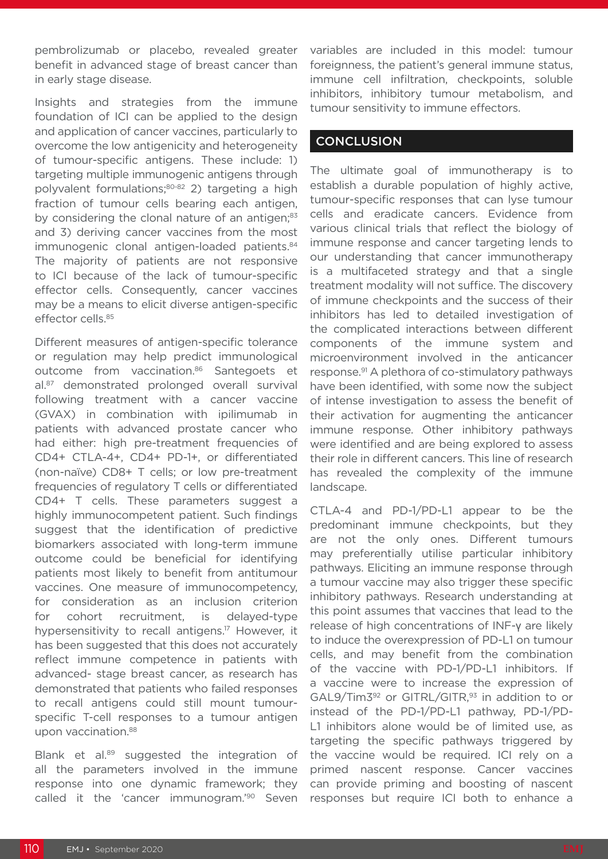pembrolizumab or placebo, revealed greater benefit in advanced stage of breast cancer than in early stage disease.

Insights and strategies from the immune foundation of ICI can be applied to the design and application of cancer vaccines, particularly to overcome the low antigenicity and heterogeneity of tumour-specific antigens. These include: 1) targeting multiple immunogenic antigens through polyvalent formulations;<sup>80-82</sup> 2) targeting a high fraction of tumour cells bearing each antigen, by considering the clonal nature of an antigen;<sup>83</sup> and 3) deriving cancer vaccines from the most immunogenic clonal antigen-loaded patients.<sup>84</sup> The majority of patients are not responsive to ICI because of the lack of tumour-specific effector cells. Consequently, cancer vaccines may be a means to elicit diverse antigen-specific effector cells.<sup>85</sup>

Different measures of antigen-specific tolerance or regulation may help predict immunological outcome from vaccination.<sup>86</sup> Santegoets et al.87 demonstrated prolonged overall survival following treatment with a cancer vaccine (GVAX) in combination with ipilimumab in patients with advanced prostate cancer who had either: high pre-treatment frequencies of CD4+ CTLA-4+, CD4+ PD-1+, or differentiated (non-naïve) CD8+ T cells; or low pre-treatment frequencies of regulatory T cells or differentiated CD4+ T cells. These parameters suggest a highly immunocompetent patient. Such findings suggest that the identification of predictive biomarkers associated with long-term immune outcome could be beneficial for identifying patients most likely to benefit from antitumour vaccines. One measure of immunocompetency, for consideration as an inclusion criterion for cohort recruitment, is delayed-type hypersensitivity to recall antigens.<sup>17</sup> However, it has been suggested that this does not accurately reflect immune competence in patients with advanced- stage breast cancer, as research has demonstrated that patients who failed responses to recall antigens could still mount tumourspecific T-cell responses to a tumour antigen upon vaccination.<sup>88</sup>

Blank et al.<sup>89</sup> suggested the integration of all the parameters involved in the immune response into one dynamic framework; they called it the 'cancer immunogram.'90 Seven

variables are included in this model: tumour foreignness, the patient's general immune status, immune cell infiltration, checkpoints, soluble inhibitors, inhibitory tumour metabolism, and tumour sensitivity to immune effectors.

#### **CONCLUSION**

The ultimate goal of immunotherapy is to establish a durable population of highly active, tumour-specific responses that can lyse tumour cells and eradicate cancers. Evidence from various clinical trials that reflect the biology of immune response and cancer targeting lends to our understanding that cancer immunotherapy is a multifaceted strategy and that a single treatment modality will not suffice. The discovery of immune checkpoints and the success of their inhibitors has led to detailed investigation of the complicated interactions between different components of the immune system and microenvironment involved in the anticancer response.91 A plethora of co-stimulatory pathways have been identified, with some now the subject of intense investigation to assess the benefit of their activation for augmenting the anticancer immune response. Other inhibitory pathways were identified and are being explored to assess their role in different cancers. This line of research has revealed the complexity of the immune landscape.

CTLA-4 and PD-1/PD-L1 appear to be the predominant immune checkpoints, but they are not the only ones. Different tumours may preferentially utilise particular inhibitory pathways. Eliciting an immune response through a tumour vaccine may also trigger these specific inhibitory pathways. Research understanding at this point assumes that vaccines that lead to the release of high concentrations of INF-γ are likely to induce the overexpression of PD-L1 on tumour cells, and may benefit from the combination of the vaccine with PD-1/PD-L1 inhibitors. If a vaccine were to increase the expression of GAL9/Tim3<sup>92</sup> or GITRL/GITR,<sup>93</sup> in addition to or instead of the PD-1/PD-L1 pathway, PD-1/PD-L1 inhibitors alone would be of limited use, as targeting the specific pathways triggered by the vaccine would be required. ICI rely on a primed nascent response. Cancer vaccines can provide priming and boosting of nascent responses but require ICI both to enhance a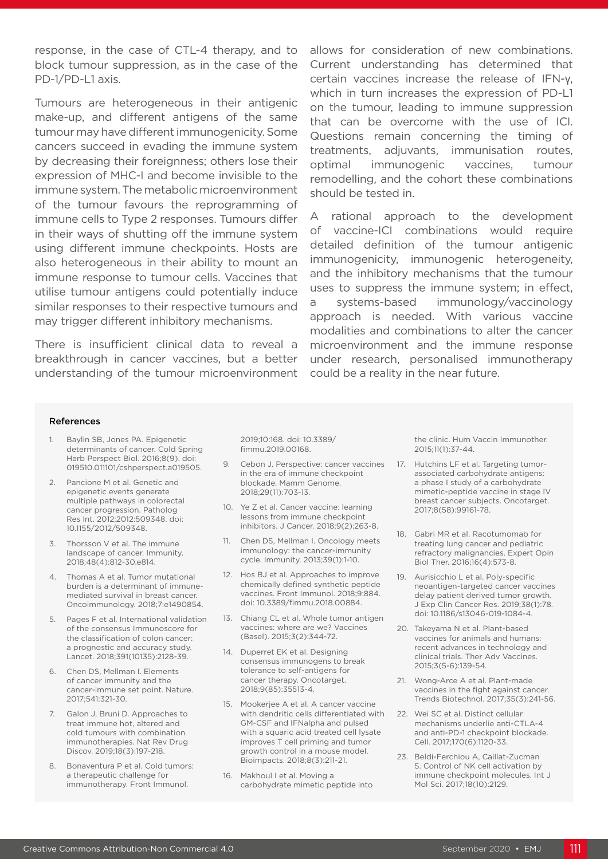response, in the case of CTL-4 therapy, and to block tumour suppression, as in the case of the PD-1/PD-L1 axis.

Tumours are heterogeneous in their antigenic make-up, and different antigens of the same tumour may have different immunogenicity. Some cancers succeed in evading the immune system by decreasing their foreignness; others lose their expression of MHC-I and become invisible to the immune system. The metabolic microenvironment of the tumour favours the reprogramming of immune cells to Type 2 responses. Tumours differ in their ways of shutting off the immune system using different immune checkpoints. Hosts are also heterogeneous in their ability to mount an immune response to tumour cells. Vaccines that utilise tumour antigens could potentially induce similar responses to their respective tumours and may trigger different inhibitory mechanisms.

There is insufficient clinical data to reveal a breakthrough in cancer vaccines, but a better understanding of the tumour microenvironment allows for consideration of new combinations. Current understanding has determined that certain vaccines increase the release of IFN-γ, which in turn increases the expression of PD-L1 on the tumour, leading to immune suppression that can be overcome with the use of ICI. Questions remain concerning the timing of treatments, adjuvants, immunisation routes, optimal immunogenic vaccines, tumour remodelling, and the cohort these combinations should be tested in.

A rational approach to the development of vaccine-ICI combinations would require detailed definition of the tumour antigenic immunogenicity, immunogenic heterogeneity, and the inhibitory mechanisms that the tumour uses to suppress the immune system; in effect, a systems-based immunology/vaccinology approach is needed. With various vaccine modalities and combinations to alter the cancer microenvironment and the immune response under research, personalised immunotherapy could be a reality in the near future.

#### References

- 1. Baylin SB, Jones PA. Epigenetic determinants of cancer. Cold Spring Harb Perspect Biol. 2016;8(9). doi: 019510.011101/cshperspect.a019505.
- 2. Pancione M et al. Genetic and epigenetic events generate multiple pathways in colorectal cancer progression. Patholog Res Int. 2012;2012:509348. doi: 10.1155/2012/509348.
- Thorsson V et al. The immune landscape of cancer. Immunity. 2018;48(4):812-30.e814.
- 4. Thomas A et al. Tumor mutational burden is a determinant of immunemediated survival in breast cancer. Oncoimmunology. 2018;7:e1490854.
- 5. Pages F et al. International validation of the consensus Immunoscore for the classification of colon cancer: a prognostic and accuracy study. Lancet. 2018;391(10135):2128-39.
- 6. Chen DS, Mellman I. Elements of cancer immunity and the cancer-immune set point. Nature. 2017;541:321-30.
- 7. Galon J, Bruni D. Approaches to treat immune hot, altered and cold tumours with combination immunotherapies. Nat Rev Drug Discov. 2019;18(3):197-218.
- 8. Bonaventura P et al. Cold tumors: a therapeutic challenge for immunotherapy. Front Immunol.

2019;10:168. doi: 10.3389/ fimmu.2019.00168.

- 9. Cebon J. Perspective: cancer vaccines in the era of immune checkpoint blockade. Mamm Genome. 2018;29(11):703-13.
- 10. Ye Z et al. Cancer vaccine: learning lessons from immune checkpoint inhibitors. J Cancer. 2018;9(2):263-8.
- 11. Chen DS, Mellman I. Oncology meets immunology: the cancer-immunity cycle. Immunity. 2013;39(1):1-10.
- 12. Hos BJ et al. Approaches to improve chemically defined synthetic peptide vaccines. Front Immunol. 2018;9:884. doi: 10.3389/fimmu.2018.00884.
- 13. Chiang CL et al. Whole tumor antigen vaccines: where are we? Vaccines (Basel). 2015;3(2):344-72.
- 14. Duperret EK et al. Designing consensus immunogens to break tolerance to self-antigens for cancer therapy. Oncotarget. 2018;9(85):35513-4.
- 15. Mookerjee A et al. A cancer vaccine with dendritic cells differentiated with GM-CSF and IFNalpha and pulsed with a squaric acid treated cell lysate improves T cell priming and tumor growth control in a mouse model. Bioimpacts. 2018;8(3):211-21.
- 16. Makhoul I et al. Moving a carbohydrate mimetic peptide into

the clinic. Hum Vaccin Immunother. 2015;11(1):37-44.

- 17. Hutchins LF et al. Targeting tumorassociated carbohydrate antigens: a phase I study of a carbohydrate mimetic-peptide vaccine in stage IV breast cancer subjects. Oncotarget. 2017;8(58):99161-78.
- 18. Gabri MR et al. Racotumomab for treating lung cancer and pediatric refractory malignancies. Expert Opin Biol Ther. 2016;16(4):573-8.
- 19. Aurisicchio L et al. Poly-specific neoantigen-targeted cancer vaccines delay patient derived tumor growth. J Exp Clin Cancer Res. 2019;38(1):78. doi: 10.1186/s13046-019-1084-4.
- 20. Takeyama N et al. Plant-based vaccines for animals and humans: recent advances in technology and clinical trials. Ther Adv Vaccines. 2015;3(5-6):139-54.
- 21. Wong-Arce A et al. Plant-made vaccines in the fight against cancer. Trends Biotechnol. 2017;35(3):241-56.
- 22. Wei SC et al. Distinct cellular mechanisms underlie anti-CTLA-4 and anti-PD-1 checkpoint blockade. Cell. 2017;170(6):1120-33.
- 23. Beldi-Ferchiou A, Caillat-Zucman S. Control of NK cell activation by immune checkpoint molecules. Int J Mol Sci. 2017;18(10):2129.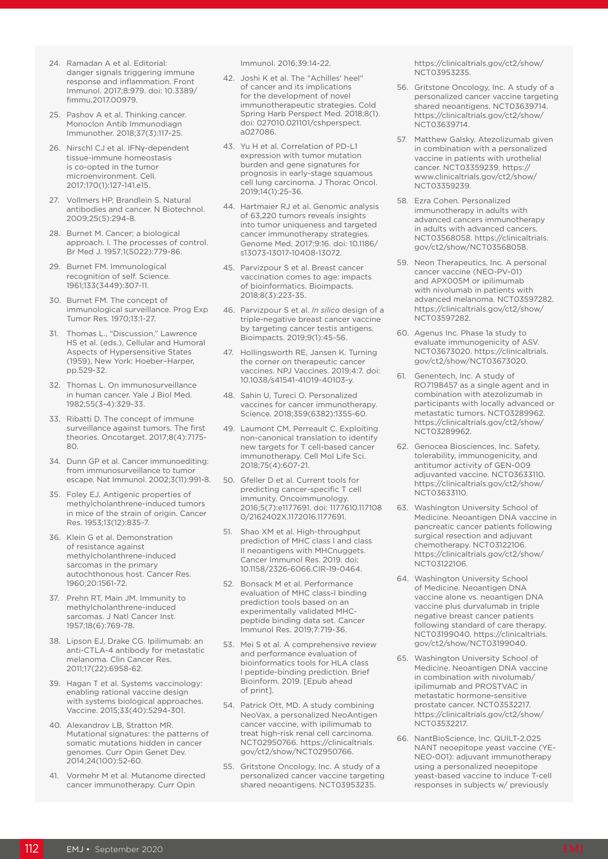- 24. Ramadan A et al. Editorial: danger signals triggering immune response and inflammation. Front Immunol. 2017;8:979. doi: 10.3389/ fimmu.2017.00979.
- 25. Pashov A et al. Thinking cancer. Monoclon Antib Immunodiagn Immunother. 2018;37(3):117-25.
- 26. Nirschl CJ et al. IFNγ-dependent tissue-immune homeostasis is co-opted in the tumor microenvironment. Cell. 2017;170(1):127-141.e15.
- 27. Vollmers HP, Brandlein S. Natural antibodies and cancer. N Biotechnol. 2009;25(5):294-8.
- 28. Burnet M. Cancer; a biological approach. I. The processes of control. Br Med J. 1957;1(5022):779-86.
- 29. Burnet FM. Immunological recognition of self. Science. 1961;133(3449):307-11.
- 30. Burnet FM. The concept of immunological surveillance. Prog Exp Tumor Res. 1970;13:1-27.
- 31. Thomas L., "Discussion," Lawrence HS et al. (eds.), Cellular and Humoral Aspects of Hypersensitive States (1959), New York: Hoeber–Harper, pp.529-32.
- 32. Thomas L. On immunosurveillance in human cancer. Yale J Biol Med. 1982;55(3-4):329-33.
- 33. Ribatti D. The concept of immune surveillance against tumors. The first theories. Oncotarget. 2017;8(4):7175-  $80.$
- 34. Dunn GP et al. Cancer immunoediting: from immunosurveillance to tumor escape. Nat Immunol. 2002;3(11):991-8.
- 35. Foley EJ. Antigenic properties of methylcholanthrene-induced tumors in mice of the strain of origin. Cancer Res. 1953;13(12):835-7.
- 36. Klein G et al. Demonstration of resistance against methylcholanthrene-induced sarcomas in the primary autochthonous host. Cancer Res. 1960;20:1561-72.
- 37. Prehn RT, Main JM. Immunity to methylcholanthrene-induced sarcomas. J Natl Cancer Inst. 1957;18(6):769-78.
- 38. Lipson EJ, Drake CG. Ipilimumab: an anti-CTLA-4 antibody for metastatic melanoma. Clin Cancer Res. 2011;17(22):6958-62.
- 39. Hagan T et al. Systems vaccinology: enabling rational vaccine design with systems biological approaches. Vaccine. 2015;33(40):5294-301.
- 40. Alexandrov LB, Stratton MR. Mutational signatures: the patterns of somatic mutations hidden in cancer genomes. Curr Opin Genet Dev. 2014;24(100):52-60.
- 41. Vormehr M et al. Mutanome directed cancer immunotherapy. Curr Opin

Immunol. 2016;39:14-22.

- 42. Joshi K et al. The "Achilles' heel" of cancer and its implications for the development of novel immunotherapeutic strategies. Cold Spring Harb Perspect Med. 2018;8(1). doi: 027010.021101/cshperspect. a027086.
- 43. Yu H et al. Correlation of PD-L1 expression with tumor mutation burden and gene signatures for prognosis in early-stage squamous cell lung carcinoma. J Thorac Oncol. 2019;14(1):25-36.
- 44. Hartmaier RJ et al. Genomic analysis of 63,220 tumors reveals insights into tumor uniqueness and targeted cancer immunotherapy strategies. Genome Med. 2017;9:16. doi: 10.1186/ s13073-13017-10408-13072.
- 45. Parvizpour S et al. Breast cancer vaccination comes to age: impacts of bioinformatics. Bioimpacts. 2018;8(3):223-35.
- 46. Parvizpour S et al. *In silico* design of a triple-negative breast cancer vaccine by targeting cancer testis antigens. Bioimpacts. 2019;9(1):45-56.
- 47. Hollingsworth RE, Jansen K. Turning the corner on therapeutic cancer vaccines. NPJ Vaccines. 2019;4:7. doi: 10.1038/s41541-41019-40103-y.
- 48. Sahin U, Tureci O. Personalized vaccines for cancer immunotherapy. Science. 2018;359(6382):1355-60.
- 49. Laumont CM, Perreault C. Exploiting non-canonical translation to identify new targets for T cell-based cancer immunotherapy. Cell Mol Life Sci. 2018;75(4):607-21.
- 50. Gfeller D et al. Current tools for predicting cancer-specific T cell immunity. Oncoimmunology. 2016;5(7):e1177691. doi: 1177610.117108 0/2162402X.1172016.1177691.
- 51. Shao XM et al. High-throughput prediction of MHC class I and class II neoantigens with MHCnuggets. Cancer Immunol Res. 2019. doi: 10.1158/2326-6066.CIR-19-0464.
- 52. Bonsack M et al. Performance evaluation of MHC class-I binding prediction tools based on an experimentally validated MHCpeptide binding data set. Cancer Immunol Res. 2019;7:719-36.
- 53. Mei S et al. A comprehensive review and performance evaluation of bioinformatics tools for HLA class I peptide-binding prediction. Brief Bioinform. 2019. [Epub ahead of print].
- 54. Patrick Ott, MD. A study combining NeoVax, a personalized NeoAntigen cancer vaccine, with ipilimumab to treat high-risk renal cell carcinoma. NCT02950766. https://clinicaltrials. gov/ct2/show/NCT02950766.
- 55. Gritstone Oncology, Inc. A study of a personalized cancer vaccine targeting shared neoantigens. NCT03953235.

https://clinicaltrials.gov/ct2/show/ NCT03953235.

- 56. Gritstone Oncology, Inc. A study of a personalized cancer vaccine targeting shared neoantigens. NCT03639714. https://clinicaltrials.gov/ct2/show/ NCT03639714.
- 57. Matthew Galsky. Atezolizumab given in combination with a personalized vaccine in patients with urothelial cancer. NCT03359239. https:// www.clinicaltrials.gov/ct2/show/ NCT03359239.
- 58. Ezra Cohen. Personalized immunotherapy in adults with advanced cancers immunotherapy in adults with advanced cancers. NCT03568058. https://clinicaltrials. gov/ct2/show/NCT03568058.
- 59. Neon Therapeutics, Inc. A personal cancer vaccine (NEO-PV-01) and APX005M or ipilimumab with nivolumab in patients with advanced melanoma. NCT03597282. https://clinicaltrials.gov/ct2/show/ NCT03597282.
- 60. Agenus Inc. Phase 1a study to evaluate immunogenicity of ASV. NCT03673020. https://clinicaltrials. gov/ct2/show/NCT03673020.
- 61. Genentech, Inc. A study of RO7198457 as a single agent and in combination with atezolizumab in participants with locally advanced or metastatic tumors. NCT03289962. https://clinicaltrials.gov/ct2/show/ NCT03289962.
- 62. Genocea Biosciences, Inc. Safety, tolerability, immunogenicity, and antitumor activity of GEN-009 adjuvanted vaccine. NCT03633110. https://clinicaltrials.gov/ct2/show/ NCT03633110.
- 63. Washington University School of Medicine. Neoantigen DNA vaccine in pancreatic cancer patients following surgical resection and adjuvant chemotherapy. NCT03122106. https://clinicaltrials.gov/ct2/show/ NCT03122106.
- 64. Washington University School of Medicine. Neoantigen DNA vaccine alone vs. neoantigen DNA vaccine plus durvalumab in triple negative breast cancer patients following standard of care therapy. NCT03199040. https://clinicaltrials. gov/ct2/show/NCT03199040.
- 65. Washington University School of Medicine. Neoantigen DNA vaccine in combination with nivolumab/ ipilimumab and PROSTVAC in metastatic hormone-sensitive prostate cancer. NCT03532217. https://clinicaltrials.gov/ct2/show/ NCT03532217.
- 66. NantBioScience, Inc. QUILT-2.025 NANT neoepitope yeast vaccine (YE-NEO-001): adjuvant immunotherapy using a personalized neoepitope yeast-based vaccine to induce T-cell responses in subjects w/ previously